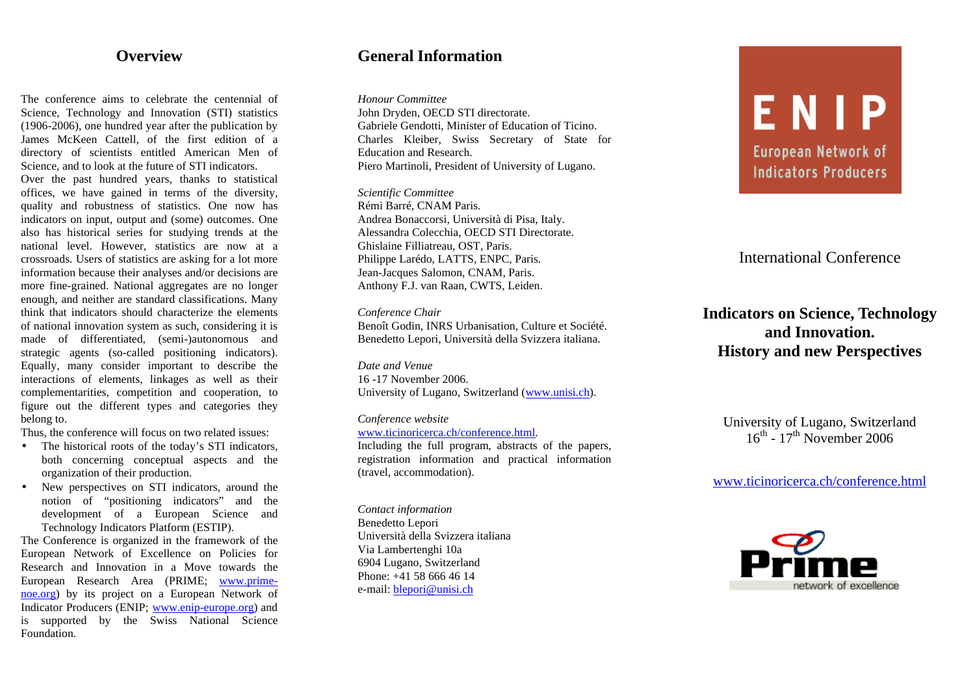## **Overview**

The conference aims to celebrate the centennial of Science, Technology and Innovation (STI) statistics (1906-2006), one hundred year after the publication by James McKeen Cattell, of the first edition of a directory of scientists entitled American Men of Science, and to look at the future of STI indicators.

Over the past hundred years, thanks to statistical offices, we have gained in terms of the diversity, quality and robustness of statistics. One now has indicators on input, output and (some) outcomes. One also has historical series for studying trends at the national level. However, statistics are now at a crossroads. Users of statistics are asking for a lot more information because their analyses and/or decisions are more fine-grained. National aggregates are no longer enough, and neither are standard classifications. Many think that indicators should characterize the elements of national innovation system as such, considering it is made of differentiated, (semi-)autonomous and strategic agents (so-called positioning indicators). Equally, many consider important to describe the interactions of elements, linkages as well as their complementarities, competition and cooperation, to figure out the different types and categories they belong to.

Thus, the conference will focus on two related issues:

- The historical roots of the today's STI indicators, both concerning conceptual aspects and the organization of their production.
- New perspectives on STI indicators, around the notion of "positioning indicators" and the development of a European Science and Technology Indicators Platform (ESTIP).

The Conference is organized in the framework of the European Network of Excellence on Policies for Research and Innovation in a Move towards the European Research Area (PRIME; www.primenoe.org) by its project on a European Network of Indicator Producers (ENIP; www.enip-europe.org) and is supported by the Swiss National Science Foundation.

# **General Information**

*Honour Committee*

John Dryden, OECD STI directorate. Gabriele Gendotti, Minister of Education of Ticino. Charles Kleiber, Swiss Secretary of State for Education and Research. Piero Martinoli, President of University of Lugano.

*Scientific Committee* Rémi Barré, CNAM Paris. Andrea Bonaccorsi, Università di Pisa, Italy. Alessandra Colecchia, OECD STI Directorate. Ghislaine Filliatreau, OST, Paris. Philippe Larédo, LATTS, ENPC, Paris. Jean-Jacques Salomon, CNAM, Paris. Anthony F.J. van Raan, CWTS, Leiden.

#### *Conference Chair*

Benoît Godin, INRS Urbanisation, Culture et Société. Benedetto Lepori, Università della Svizzera italiana.

*Date and Venue* 16 -17 November 2006. University of Lugano, Switzerland (www.unisi.ch).

*Conference website* www.ticinoricerca.ch/conference.html. Including the full program, abstracts of the papers, registration information and practical information (travel, accommodation).

*Contact information* Benedetto Lepori Università della Svizzera italiana Via Lambertenghi 10a 6904 Lugano, Switzerland Phone: +41 58 666 46 14 e-mail: blepori@unisi.ch

# ENP **European Network of Indicators Producers**

# International Conference

# **Indicators on Science, Technology and Innovation. History and new Perspectives**

University of Lugano, Switzerland  $16^{\text{th}}$  -  $17^{\text{th}}$  November 2006

### www.ticinoricerca.ch/conference.html